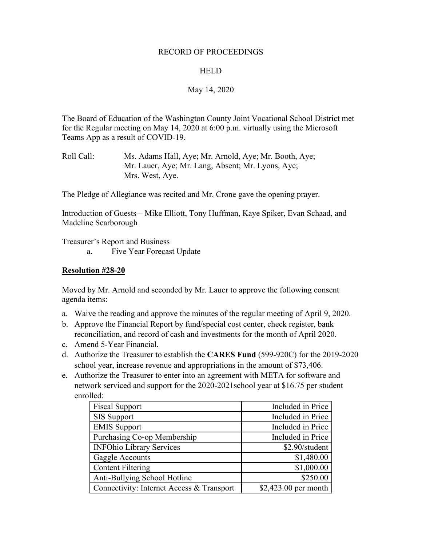#### RECORD OF PROCEEDINGS

#### **HELD**

## May 14, 2020

The Board of Education of the Washington County Joint Vocational School District met for the Regular meeting on May 14, 2020 at 6:00 p.m. virtually using the Microsoft Teams App as a result of COVID-19.

The Pledge of Allegiance was recited and Mr. Crone gave the opening prayer.

Introduction of Guests – Mike Elliott, Tony Huffman, Kaye Spiker, Evan Schaad, and Madeline Scarborough

Treasurer's Report and Business

a. Five Year Forecast Update

#### **Resolution #28-20**

Moved by Mr. Arnold and seconded by Mr. Lauer to approve the following consent agenda items:

- a. Waive the reading and approve the minutes of the regular meeting of April 9, 2020.
- b. Approve the Financial Report by fund/special cost center, check register, bank reconciliation, and record of cash and investments for the month of April 2020.
- c. Amend 5-Year Financial.
- d. Authorize the Treasurer to establish the **CARES Fund** (599-920C) for the 2019-2020 school year, increase revenue and appropriations in the amount of \$73,406.
- e. Authorize the Treasurer to enter into an agreement with META for software and network serviced and support for the 2020-2021school year at \$16.75 per student enrolled:

| <b>Fiscal Support</b>                     | Included in Price    |
|-------------------------------------------|----------------------|
| <b>SIS Support</b>                        | Included in Price    |
| <b>EMIS Support</b>                       | Included in Price    |
| Purchasing Co-op Membership               | Included in Price    |
| <b>INFOhio Library Services</b>           | \$2.90/student       |
| <b>Gaggle Accounts</b>                    | \$1,480.00           |
| Content Filtering                         | \$1,000.00           |
| Anti-Bullying School Hotline              | \$250.00             |
| Connectivity: Internet Access & Transport | \$2,423.00 per month |

Roll Call: Ms. Adams Hall, Aye; Mr. Arnold, Aye; Mr. Booth, Aye; Mr. Lauer, Aye; Mr. Lang, Absent; Mr. Lyons, Aye; Mrs. West, Aye.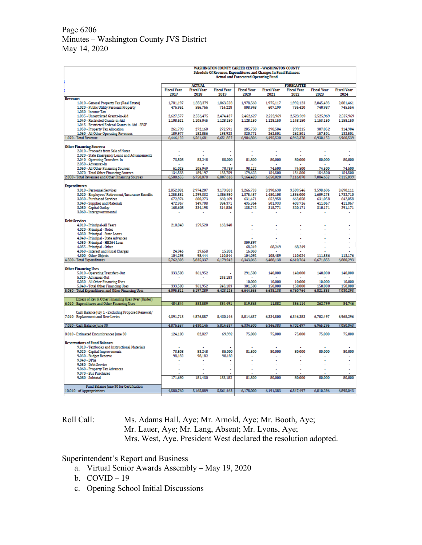## Page 6206 Minutes – Washington County JVS District May 14, 2020

|                                                                                                              | <b>WASHINGTON COUNTY CAREER CENTER - WASHINGTON COUNTY</b><br>Schedule Of Revenue, Expenditures and Changes In Fund Balances |                            |                            |                            |                            |                            |                            |                            |
|--------------------------------------------------------------------------------------------------------------|------------------------------------------------------------------------------------------------------------------------------|----------------------------|----------------------------|----------------------------|----------------------------|----------------------------|----------------------------|----------------------------|
|                                                                                                              | <b>Actual and Forecasted Operating Fund</b>                                                                                  |                            |                            |                            |                            |                            |                            |                            |
|                                                                                                              |                                                                                                                              | <b>ACTUAL</b>              |                            |                            |                            | <b>FORECASTED</b>          |                            |                            |
|                                                                                                              | <b>Fiscal Year</b><br>2017                                                                                                   | <b>Fiscal Year</b><br>2018 | <b>Fiscal Year</b><br>2019 | <b>Fiscal Year</b><br>2020 | <b>Fiscal Year</b><br>2021 | <b>Fiscal Year</b><br>2022 | <b>Fiscal Year</b><br>2023 | <b>Fiscal Year</b><br>2024 |
| <b>Revenue:</b>                                                                                              | 1.781.197                                                                                                                    | 1.858.379                  | 1.863.528                  | 1.978.560                  | 1.975.117                  | 1.992.123                  | 2.045.493                  | 2.081,461                  |
| 1.010 - General Property Tax (Real Estate)<br>1.020 - Public Utility Personal Property<br>1.030 - Income Tax | 476,951<br>$\sim$                                                                                                            | 586,766<br>$\sim$          | 714,228                    | 808,948<br>$\sim$          | 607,199<br>×.              | 736,420<br>$\sim$          | 740,987<br>$\sim$          | 745,554<br>÷.              |
| 1.035 - Unrestricted Grants-in-Aid                                                                           | 2.627.577                                                                                                                    | 2.556.475                  | 2.474.437                  | 2.462.627                  | 2.223.969                  | 2.523.969                  | 2.525.969                  | 2.527.969                  |
| 1.040 - Restricted Grants-in-Aid<br>1.045 - Restricted Federal Grants-in-Aid - SFSF                          | 1,108,621                                                                                                                    | 1.105.045                  | 1.128.150                  | 1.128.150                  | 1.128.150                  | 1,148,150                  | 1,153,150                  | 1,158,150                  |
| 1.050 - Property Tax Allocation                                                                              | 261.799                                                                                                                      | 272.160                    | 272.591                    | 285.750                    | 298.584                    | 299.215                    | 307.052                    | 314.904                    |
| 1.060 - All Other Operating Revenues                                                                         | 189,977                                                                                                                      | 182,856                    | 198,923                    | 320,771                    | 262,501                    | 262,501                    | 157,501                    | 132,501                    |
| 1.070 - Total Revenue                                                                                        | 6,446,122                                                                                                                    | 6,561,681                  | 6,651,857                  | 6,984,806                  | 6,495,520                  | 6,962,378                  | 6,930,152                  | 6,960,539                  |
| <b>Other Financing Sources:</b>                                                                              |                                                                                                                              |                            |                            |                            |                            |                            |                            |                            |
| 2.010 - Proceeds from Sale of Notes                                                                          |                                                                                                                              |                            |                            |                            | ÷,                         |                            |                            |                            |
| 2.020 - State Emergency Loans and Advancements<br>2.040 - Operating Transfers-In                             | 73,508                                                                                                                       | 83,248                     | 85,000                     | 81,500                     | 80,000                     | 80,000                     | 80,000                     | 80,000                     |
| 2.050 - Advances-In                                                                                          |                                                                                                                              |                            |                            |                            | ÷.                         | ÷.                         |                            |                            |
| 2.060 - All Other Financing Sources                                                                          | 61,025<br>134,533                                                                                                            | 105.949<br>189.197         | 70.759                     | 98.122<br>179,622          | 74,500<br>154,500          | 74,500<br>154,500          | 74.500<br>154,500          | 74,500<br>154,500          |
| 2.070 - Total Other Financing Sources<br>2.080 - Total Revenues and Other Financing Sources                  | 6,580,655                                                                                                                    | 6,750,878                  | 155,759<br>6,807,616       | 7,164,428                  | 6,650,020                  | 7,116,878                  | 7,084,652                  | 7,115,039                  |
|                                                                                                              |                                                                                                                              |                            |                            |                            |                            |                            |                            |                            |
| <b>Expenditures:</b><br>3.010 - Personnel Services                                                           | 2.852.081                                                                                                                    | 2.974.207                  | 3.173.863                  | 3,266,733                  | 3.390.630                  | 3.509.546                  | 3.598.696                  | 3.690.111                  |
| 3.020 - Employees' Retirement/Insurance Benefits                                                             | 1.255.581                                                                                                                    | 1.299.332                  | 1.356.980                  | 1.375.457                  | 1,450,108                  | 1.536.000                  | 1.609.275                  | 1.732.710                  |
| 3.030 - Purchased Services                                                                                   | 672.974                                                                                                                      | 600.273                    | 660.169                    | 631.471                    | 652.958                    | 663.058                    | 631.058                    | 642.058                    |
| 3.040 - Supplies and Materials                                                                               | 472.967                                                                                                                      | 349.708                    | 384.371                    | 435.364                    | 501.933                    | 403.716                    | 411.067                    | 411.067                    |
| 3.050 - Capital Outlay                                                                                       | 168,608                                                                                                                      | 334,195                    | 314,836                    | 135,742                    | 315,771                    | 320,171                    | 310,171                    | 291,171                    |
| 3.060 - Intergovernmental                                                                                    |                                                                                                                              |                            |                            |                            |                            |                            |                            |                            |
| <b>Debt Service:</b>                                                                                         |                                                                                                                              |                            |                            |                            |                            |                            |                            |                            |
| 4.010 - Principal-All Years                                                                                  | 210,848                                                                                                                      | 159.520                    | 163,348                    |                            |                            |                            |                            |                            |
| 4.020 - Principal - Notes<br>4.030 - Principal - State Loans                                                 |                                                                                                                              |                            |                            |                            |                            |                            |                            |                            |
| 4.040 - Principal - State Advances                                                                           |                                                                                                                              |                            |                            |                            | ٠                          |                            |                            |                            |
| 4.050 - Principal - HB264 Loan                                                                               |                                                                                                                              |                            |                            | 309.897                    | $\overline{a}$             |                            |                            |                            |
| 4.055 - Principal - Other                                                                                    |                                                                                                                              | 19.658                     | 15.831                     | 68.249<br>16.060           | 68.249                     | 68.249                     |                            |                            |
| 4.060 - Interest and Fiscal Charges<br>4.300 - Other Objects                                                 | 24.946<br>104.298                                                                                                            | 98.444                     | 110.544                    | 104.092                    | 108,489                    | 110.024                    | 111,586                    | 113,176                    |
| 4.500 - Total Expenditures                                                                                   | 5.762.303                                                                                                                    | 5.835.337                  | 6.179.942                  | 6.343.065                  | 6,488.138                  | 6.610.764                  | 6.671.853                  | 6.880.293                  |
| <b>Other Financing Uses</b>                                                                                  |                                                                                                                              |                            |                            |                            |                            |                            |                            |                            |
| 5.010 - Operating Transfers-Out                                                                              | 333,508                                                                                                                      | 361,952                    |                            | 291,500                    | 140,000                    | 140,000                    | 140,000                    | 140,000                    |
| 5.020 - Advances-Out                                                                                         | ٠                                                                                                                            |                            | 243.183                    |                            |                            |                            |                            |                            |
| 5.030 - All Other Financing Uses                                                                             |                                                                                                                              |                            |                            | 10,000                     | 10,000                     | 10,000                     | 10,000                     | 10,000                     |
| 5.040 - Total Other Financing Uses<br>5.050 - Total Expenditures and Other Financing Uses                    | 333,508<br>6,095,811                                                                                                         | 361,952<br>6,197,289       | 243,183<br>6,423,125       | 301,500<br>6,644,565       | 150,000<br>6,638,138       | 150,000<br>6,760,764       | 150,000<br>6,821,853       | 150,000<br>7,030,293       |
|                                                                                                              |                                                                                                                              |                            |                            |                            |                            |                            |                            |                            |
| Excess of Rev & Other Financing Uses Over (Under)                                                            |                                                                                                                              |                            |                            |                            |                            |                            |                            |                            |
| 6.010 - Expenditures and Other Financing Uses                                                                | 484,844                                                                                                                      | 553,589                    | 384,491                    | 519,863                    | 11,882                     | 356,114                    | 262,799                    | 84,746                     |
| Cash Balance July 1 - Excluding Proposed Renewal/                                                            |                                                                                                                              |                            |                            |                            |                            |                            |                            |                            |
| 7.010 - Replacement and New Levies                                                                           | 4,391,713                                                                                                                    | 4,876,557                  | 5,430,146                  | 5,814,637                  | 6,334,500                  | 6.346.383                  | 6,702,497                  | 6,965,296                  |
| 7.020 - Cash Balance June 30                                                                                 | 4.876.557                                                                                                                    | 5.430.146                  | 5,814,637                  | 6.334.500                  | 6.346.383                  | 6,702,497                  | 6,965,296                  | 7,050,043                  |
| 8.010 - Estimated Encumbrances June 30                                                                       | 124,108                                                                                                                      | 82,827                     | 69,992                     | 75,000                     | 75,000                     | 75,000                     | 75,000                     | 75,000                     |
| <b>Reservations of Fund Balance:</b>                                                                         |                                                                                                                              |                            |                            |                            |                            |                            |                            |                            |
| 9.010 - Textbooks and Instructional Materials                                                                |                                                                                                                              |                            |                            |                            |                            |                            |                            |                            |
| 9.020 - Capital Improvements                                                                                 | 73,508                                                                                                                       | 83,248                     | 85,000                     | 81,500                     | 80,000                     | 80,000                     | 80,000                     | 80,000                     |
| 9.030 - Budget Reserve<br>9.040 - DPIA                                                                       | 98.182                                                                                                                       | 98.182                     | 98,182                     |                            |                            |                            |                            |                            |
| 9.050 - Debt Service                                                                                         |                                                                                                                              |                            | ÷                          |                            |                            |                            |                            |                            |
| 9.060 - Property Tax Advances                                                                                |                                                                                                                              |                            | $\overline{a}$             |                            |                            |                            |                            |                            |
| 9.070 - Bus Purchases                                                                                        |                                                                                                                              |                            |                            |                            |                            |                            |                            |                            |
| 9.080 - Subtotal                                                                                             | 171,690                                                                                                                      | 181,430                    | 183,182                    | 81,500                     | 80,000                     | 80,000                     | 80,000                     | 80,000                     |
| Fund Balance June 30 for Certification                                                                       |                                                                                                                              |                            |                            |                            |                            |                            |                            |                            |
| 10.010 - of Appropriations                                                                                   | 4.580.760                                                                                                                    | 5,165,889                  | 5,561,463                  | 6,178,000                  | 6,191,383                  | 6,547,497                  | 6,810,296                  | 6,895,043                  |
|                                                                                                              |                                                                                                                              |                            |                            |                            |                            |                            |                            |                            |

## Roll Call: Ms. Adams Hall, Aye; Mr. Arnold, Aye; Mr. Booth, Aye; Mr. Lauer, Aye; Mr. Lang, Absent; Mr. Lyons, Aye; Mrs. West, Aye. President West declared the resolution adopted.

Superintendent's Report and Business

- a. Virtual Senior Awards Assembly May 19, 2020
- b.  $COVID-19$
- c. Opening School Initial Discussions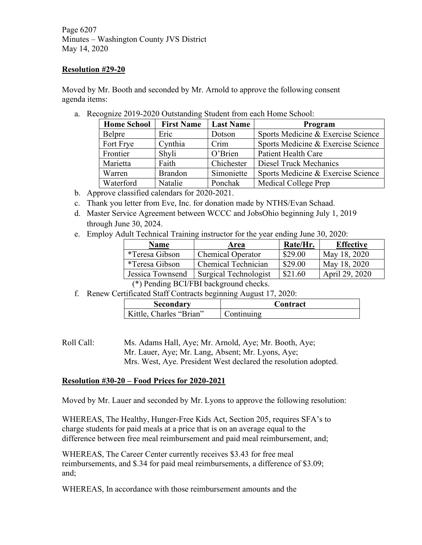Page 6207 Minutes – Washington County JVS District May 14, 2020

#### **Resolution #29-20**

Moved by Mr. Booth and seconded by Mr. Arnold to approve the following consent agenda items:

a. Recognize 2019-2020 Outstanding Student from each Home School:

| <b>Home School</b> | <b>First Name</b> | <b>Last Name</b> | Program                            |  |
|--------------------|-------------------|------------------|------------------------------------|--|
| Belpre             | Eric              | Dotson           | Sports Medicine & Exercise Science |  |
| Fort Frye          | Cynthia           | Crim             | Sports Medicine & Exercise Science |  |
| Frontier           | Shyli             | O'Brien          | Patient Health Care                |  |
| Marietta           | Faith             | Chichester       | Diesel Truck Mechanics             |  |
| Warren             | <b>Brandon</b>    | Simoniette       | Sports Medicine & Exercise Science |  |
| Waterford          | Natalie           | Ponchak          | Medical College Prep               |  |

- b. Approve classified calendars for 2020-2021.
- c. Thank you letter from Eve, Inc. for donation made by NTHS/Evan Schaad.
- d. Master Service Agreement between WCCC and JobsOhio beginning July 1, 2019 through June 30, 2024.
- e. Employ Adult Technical Training instructor for the year ending June 30, 2020:

| <b>Name</b>            | Area                               | Rate/Hr. | <b>Effective</b> |
|------------------------|------------------------------------|----------|------------------|
| <i>*</i> Teresa Gibson | <b>Chemical Operator</b>           | \$29.00  | May 18, 2020     |
| *Teresa Gibson         | Chemical Technician                | \$29.00  | May 18, 2020     |
| Jessica Townsend       | Surgical Technologist              | \$21.60  | April 29, 2020   |
|                        | $(4)$ n $1'$ n $(1)$ n $1$ 1 1 1 1 |          |                  |

(\*) Pending BCI/FBI background checks.

f. Renew Certificated Staff Contracts beginning August 17, 2020:

| Secondary               | . `ontract_ |
|-------------------------|-------------|
| Kittle. Charles "Brian" | m111n o     |

Roll Call: Ms. Adams Hall, Aye; Mr. Arnold, Aye; Mr. Booth, Aye; Mr. Lauer, Aye; Mr. Lang, Absent; Mr. Lyons, Aye; Mrs. West, Aye. President West declared the resolution adopted.

#### **Resolution #30-20 – Food Prices for 2020-2021**

Moved by Mr. Lauer and seconded by Mr. Lyons to approve the following resolution:

WHEREAS, The Healthy, Hunger-Free Kids Act, Section 205, requires SFA's to charge students for paid meals at a price that is on an average equal to the difference between free meal reimbursement and paid meal reimbursement, and;

WHEREAS, The Career Center currently receives \$3.43 for free meal reimbursements, and \$.34 for paid meal reimbursements, a difference of \$3.09; and;

WHEREAS, In accordance with those reimbursement amounts and the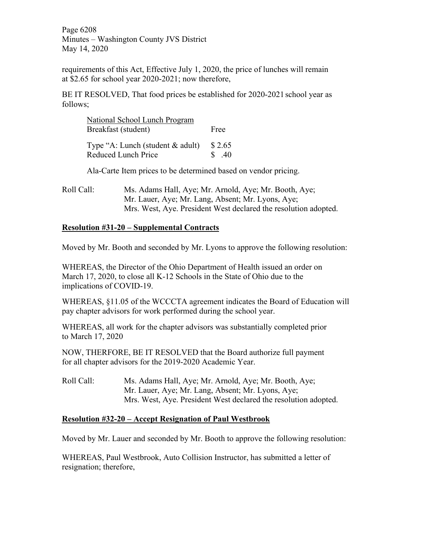Page 6208 Minutes – Washington County JVS District May 14, 2020

requirements of this Act, Effective July 1, 2020, the price of lunches will remain at \$2.65 for school year 2020-2021; now therefore,

BE IT RESOLVED, That food prices be established for 2020-2021 school year as follows;

| National School Lunch Program                           |                 |
|---------------------------------------------------------|-----------------|
| Breakfast (student)                                     | Free            |
| Type "A: Lunch (student & adult)<br>Reduced Lunch Price | \$2.65<br>\$.40 |

Ala-Carte Item prices to be determined based on vendor pricing.

Roll Call: Ms. Adams Hall, Aye; Mr. Arnold, Aye; Mr. Booth, Aye; Mr. Lauer, Aye; Mr. Lang, Absent; Mr. Lyons, Aye; Mrs. West, Aye. President West declared the resolution adopted.

# **Resolution #31-20 – Supplemental Contracts**

Moved by Mr. Booth and seconded by Mr. Lyons to approve the following resolution:

WHEREAS, the Director of the Ohio Department of Health issued an order on March 17, 2020, to close all K-12 Schools in the State of Ohio due to the implications of COVID-19.

WHEREAS, §11.05 of the WCCCTA agreement indicates the Board of Education will pay chapter advisors for work performed during the school year.

WHEREAS, all work for the chapter advisors was substantially completed prior to March 17, 2020

NOW, THERFORE, BE IT RESOLVED that the Board authorize full payment for all chapter advisors for the 2019-2020 Academic Year.

Roll Call: Ms. Adams Hall, Aye; Mr. Arnold, Aye; Mr. Booth, Aye; Mr. Lauer, Aye; Mr. Lang, Absent; Mr. Lyons, Aye; Mrs. West, Aye. President West declared the resolution adopted.

#### **Resolution #32-20 – Accept Resignation of Paul Westbrook**

Moved by Mr. Lauer and seconded by Mr. Booth to approve the following resolution:

WHEREAS, Paul Westbrook, Auto Collision Instructor, has submitted a letter of resignation; therefore,